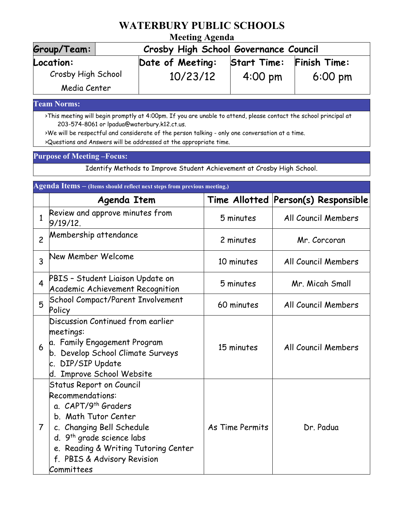## **WATERBURY PUBLIC SCHOOLS**

## **Meeting Agenda**

| Group/Team:        | Crosby High School Governance Council |                    |                   |  |  |
|--------------------|---------------------------------------|--------------------|-------------------|--|--|
| Location:          | Date of Meeting:                      | <b>Start Time:</b> | Finish Time:      |  |  |
| Crosby High School | 10/23/12                              | $4:00 \text{ pm}$  | $6:00 \text{ pm}$ |  |  |
| Media Center       |                                       |                    |                   |  |  |

**Team Norms:**

>This meeting will begin promptly at 4:00pm. If you are unable to attend, please contact the school principal at 203-574-8061 or lpadua@waterbury.k12.ct.us.

>We will be respectful and considerate of the person talking - only one conversation at a time.

>Questions and Answers will be addressed at the appropriate time.

## **Purpose of Meeting –Focus:**

Identify Methods to Improve Student Achievement at Crosby High School.

| Agenda Items - (Items should reflect next steps from previous meeting.) |                                                                                                                                                                                                                                                                           |                 |                                     |  |  |
|-------------------------------------------------------------------------|---------------------------------------------------------------------------------------------------------------------------------------------------------------------------------------------------------------------------------------------------------------------------|-----------------|-------------------------------------|--|--|
|                                                                         | Agenda Item                                                                                                                                                                                                                                                               |                 | Time Allotted Person(s) Responsible |  |  |
| $\mathbf{1}$                                                            | Review and approve minutes from<br>9/19/12.                                                                                                                                                                                                                               | 5 minutes       | All Council Members                 |  |  |
| $\overline{c}$                                                          | Membership attendance                                                                                                                                                                                                                                                     | 2 minutes       | Mr. Corcoran                        |  |  |
| 3                                                                       | New Member Welcome                                                                                                                                                                                                                                                        | 10 minutes      | All Council Members                 |  |  |
| $\overline{\mathbf{4}}$                                                 | PBIS - Student Liaison Update on<br>Academic Achievement Recognition                                                                                                                                                                                                      | 5 minutes       | Mr. Micah Small                     |  |  |
| 5                                                                       | School Compact/Parent Involvement<br>Policy                                                                                                                                                                                                                               | 60 minutes      | All Council Members                 |  |  |
| 6                                                                       | Discussion Continued from earlier<br>meetings:<br>a. Family Engagement Program<br>b. Develop School Climate Surveys<br><b>DIP/SIP Update</b><br>c.<br>d. Improve School Website                                                                                           | 15 minutes      | All Council Members                 |  |  |
| $\overline{7}$                                                          | <b>Status Report on Council</b><br>Recommendations:<br>a. CAPT/9 <sup>th</sup> Graders<br>b. Math Tutor Center<br>c. Changing Bell Schedule<br>d. 9 <sup>th</sup> grade science labs<br>e. Reading & Writing Tutoring Center<br>f. PBIS & Advisory Revision<br>Committees | As Time Permits | Dr. Padua                           |  |  |